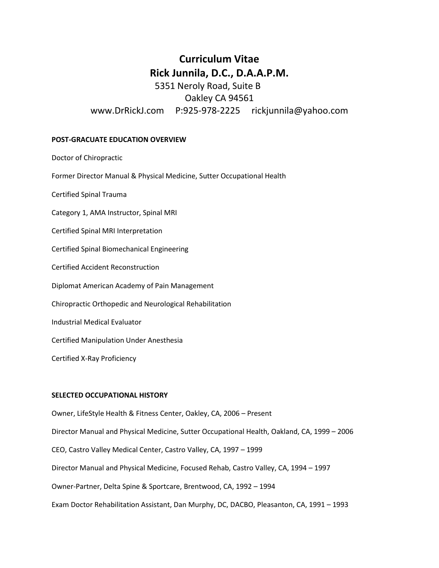# **Curriculum Vitae Rick Junnila, D.C., D.A.A.P.M.**

5351 Neroly Road, Suite B Oakley CA 94561 www.DrRickJ.com P:925-978-2225 rickjunnila@yahoo.com

## **POST-GRACUATE EDUCATION OVERVIEW**

Doctor of Chiropractic

Former Director Manual & Physical Medicine, Sutter Occupational Health

Certified Spinal Trauma

Category 1, AMA Instructor, Spinal MRI

Certified Spinal MRI Interpretation

Certified Spinal Biomechanical Engineering

Certified Accident Reconstruction

Diplomat American Academy of Pain Management

Chiropractic Orthopedic and Neurological Rehabilitation

Industrial Medical Evaluator

Certified Manipulation Under Anesthesia

Certified X-Ray Proficiency

## **SELECTED OCCUPATIONAL HISTORY**

Owner, LifeStyle Health & Fitness Center, Oakley, CA, 2006 – Present Director Manual and Physical Medicine, Sutter Occupational Health, Oakland, CA, 1999 – 2006 CEO, Castro Valley Medical Center, Castro Valley, CA, 1997 – 1999 Director Manual and Physical Medicine, Focused Rehab, Castro Valley, CA, 1994 – 1997 Owner-Partner, Delta Spine & Sportcare, Brentwood, CA, 1992 – 1994 Exam Doctor Rehabilitation Assistant, Dan Murphy, DC, DACBO, Pleasanton, CA, 1991 – 1993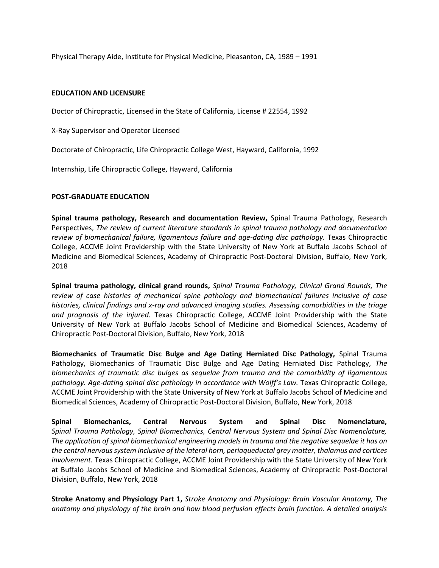Physical Therapy Aide, Institute for Physical Medicine, Pleasanton, CA, 1989 – 1991

#### **EDUCATION AND LICENSURE**

Doctor of Chiropractic, Licensed in the State of California, License # 22554, 1992

X-Ray Supervisor and Operator Licensed

Doctorate of Chiropractic, Life Chiropractic College West, Hayward, California, 1992

Internship, Life Chiropractic College, Hayward, California

# **POST-GRADUATE EDUCATION**

**Spinal trauma pathology, Research and documentation Review,** Spinal Trauma Pathology, Research Perspectives, *The review of current literature standards in spinal trauma pathology and documentation review of biomechanical failure, ligamentous failure and age-dating disc pathology.* Texas Chiropractic College, ACCME Joint Providership with the State University of New York at Buffalo Jacobs School of Medicine and Biomedical Sciences, Academy of Chiropractic Post-Doctoral Division, Buffalo, New York, 2018

**Spinal trauma pathology, clinical grand rounds,** *Spinal Trauma Pathology, Clinical Grand Rounds, The review of case histories of mechanical spine pathology and biomechanical failures inclusive of case histories, clinical findings and x-ray and advanced imaging studies. Assessing comorbidities in the triage and prognosis of the injured.* Texas Chiropractic College, ACCME Joint Providership with the State University of New York at Buffalo Jacobs School of Medicine and Biomedical Sciences, Academy of Chiropractic Post-Doctoral Division, Buffalo, New York, 2018

**Biomechanics of Traumatic Disc Bulge and Age Dating Herniated Disc Pathology,** Spinal Trauma Pathology, Biomechanics of Traumatic Disc Bulge and Age Dating Herniated Disc Pathology, *The biomechanics of traumatic disc bulges as sequelae from trauma and the comorbidity of ligamentous pathology. Age-dating spinal disc pathology in accordance with Wolff's Law.* Texas Chiropractic College, ACCME Joint Providership with the State University of New York at Buffalo Jacobs School of Medicine and Biomedical Sciences, Academy of Chiropractic Post-Doctoral Division, Buffalo, New York, 2018

**Spinal Biomechanics, Central Nervous System and Spinal Disc Nomenclature,**  *Spinal Trauma Pathology, Spinal Biomechanics, Central Nervous System and Spinal Disc Nomenclature, The application of spinal biomechanical engineering models in trauma and the negative sequelae it has on the central nervous system inclusive of the lateral horn, periaqueductal grey matter, thalamus and cortices involvement.* Texas Chiropractic College, ACCME Joint Providership with the State University of New York at Buffalo Jacobs School of Medicine and Biomedical Sciences, Academy of Chiropractic Post-Doctoral Division, Buffalo, New York, 2018

**Stroke Anatomy and Physiology Part 1,** *Stroke Anatomy and Physiology: Brain Vascular Anatomy, The anatomy and physiology of the brain and how blood perfusion effects brain function. A detailed analysis*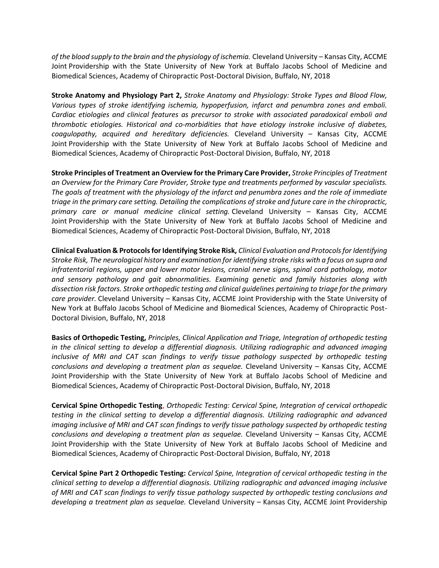*of the blood supply to the brain and the physiology of ischemia.* Cleveland University – Kansas City, ACCME Joint Providership with the State University of New York at Buffalo Jacobs School of Medicine and Biomedical Sciences, Academy of Chiropractic Post-Doctoral Division, Buffalo, NY, 2018

**Stroke Anatomy and Physiology Part 2,** *Stroke Anatomy and Physiology: Stroke Types and Blood Flow, Various types of stroke identifying ischemia, hypoperfusion, infarct and penumbra zones and emboli. Cardiac etiologies and clinical features as precursor to stroke with associated paradoxical emboli and thrombotic etiologies. Historical and co-morbidities that have etiology instroke inclusive of diabetes, coagulopathy, acquired and hereditary deficiencies.* Cleveland University – Kansas City, ACCME Joint Providership with the State University of New York at Buffalo Jacobs School of Medicine and Biomedical Sciences, Academy of Chiropractic Post-Doctoral Division, Buffalo, NY, 2018

**Stroke Principles of Treatment an Overview for the Primary Care Provider,** *Stroke Principles of Treatment an Overview for the Primary Care Provider, Stroke type and treatments performed by vascular specialists. The goals of treatment with the physiology of the infarct and penumbra zones and the role of immediate triage in the primary care setting. Detailing the complications of stroke and future care in the chiropractic, primary care or manual medicine clinical setting.* Cleveland University – Kansas City, ACCME Joint Providership with the State University of New York at Buffalo Jacobs School of Medicine and Biomedical Sciences, Academy of Chiropractic Post-Doctoral Division, Buffalo, NY, 2018

**Clinical Evaluation & Protocols for Identifying Stroke Risk,** *Clinical Evaluation and Protocols for Identifying Stroke Risk, The neurological history and examination for identifying stroke risks with a focus on supra and infratentorial regions, upper and lower motor lesions, cranial nerve signs, spinal cord pathology, motor and sensory pathology and gait abnormalities. Examining genetic and family histories along with dissection risk factors. Stroke orthopedic testing and clinical guidelines pertaining to triage for the primary care provider.* Cleveland University – Kansas City, ACCME Joint Providership with the State University of New York at Buffalo Jacobs School of Medicine and Biomedical Sciences, Academy of Chiropractic Post-Doctoral Division, Buffalo, NY, 2018

**Basics of Orthopedic Testing,** *Principles, Clinical Application and Triage, Integration of orthopedic testing in the clinical setting to develop a differential diagnosis. Utilizing radiographic and advanced imaging inclusive of MRI and CAT scan findings to verify tissue pathology suspected by orthopedic testing conclusions and developing a treatment plan as sequelae.* Cleveland University – Kansas City, ACCME Joint Providership with the State University of New York at Buffalo Jacobs School of Medicine and Biomedical Sciences, Academy of Chiropractic Post-Doctoral Division, Buffalo, NY, 2018

**Cervical Spine Orthopedic Testing**, *Orthopedic Testing: Cervical Spine, Integration of cervical orthopedic testing in the clinical setting to develop a differential diagnosis. Utilizing radiographic and advanced imaging inclusive of MRI and CAT scan findings to verify tissue pathology suspected by orthopedic testing conclusions and developing a treatment plan as sequelae.* Cleveland University – Kansas City, ACCME Joint Providership with the State University of New York at Buffalo Jacobs School of Medicine and Biomedical Sciences, Academy of Chiropractic Post-Doctoral Division, Buffalo, NY, 2018

**Cervical Spine Part 2 Orthopedic Testing:** *Cervical Spine, Integration of cervical orthopedic testing in the clinical setting to develop a differential diagnosis. Utilizing radiographic and advanced imaging inclusive of MRI and CAT scan findings to verify tissue pathology suspected by orthopedic testing conclusions and developing a treatment plan as sequelae.* Cleveland University – Kansas City, ACCME Joint Providership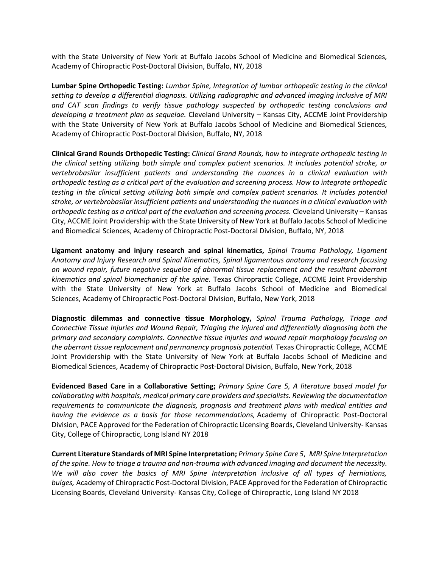with the State University of New York at Buffalo Jacobs School of Medicine and Biomedical Sciences, Academy of Chiropractic Post-Doctoral Division, Buffalo, NY, 2018

**Lumbar Spine Orthopedic Testing:** *Lumbar Spine, Integration of lumbar orthopedic testing in the clinical setting to develop a differential diagnosis. Utilizing radiographic and advanced imaging inclusive of MRI and CAT scan findings to verify tissue pathology suspected by orthopedic testing conclusions and developing a treatment plan as sequelae.* Cleveland University – Kansas City, ACCME Joint Providership with the State University of New York at Buffalo Jacobs School of Medicine and Biomedical Sciences, Academy of Chiropractic Post-Doctoral Division, Buffalo, NY, 2018

**Clinical Grand Rounds Orthopedic Testing:** *Clinical Grand Rounds, how to integrate orthopedic testing in the clinical setting utilizing both simple and complex patient scenarios. It includes potential stroke, or vertebrobasilar insufficient patients and understanding the nuances in a clinical evaluation with orthopedic testing as a critical part of the evaluation and screening process. How to integrate orthopedic testing in the clinical setting utilizing both simple and complex patient scenarios. It includes potential stroke, or vertebrobasilar insufficient patients and understanding the nuances in a clinical evaluation with orthopedic testing as a critical part of the evaluation and screening process.* Cleveland University – Kansas City, ACCME Joint Providership with the State University of New York at Buffalo Jacobs School of Medicine and Biomedical Sciences, Academy of Chiropractic Post-Doctoral Division, Buffalo, NY, 2018

**Ligament anatomy and injury research and spinal kinematics,** *Spinal Trauma Pathology, Ligament Anatomy and Injury Research and Spinal Kinematics, Spinal ligamentous anatomy and research focusing on wound repair, future negative sequelae of abnormal tissue replacement and the resultant aberrant kinematics and spinal biomechanics of the spine.* Texas Chiropractic College, ACCME Joint Providership with the State University of New York at Buffalo Jacobs School of Medicine and Biomedical Sciences, Academy of Chiropractic Post-Doctoral Division, Buffalo, New York, 2018

**Diagnostic dilemmas and connective tissue Morphology,** *Spinal Trauma Pathology, Triage and Connective Tissue Injuries and Wound Repair, Triaging the injured and differentially diagnosing both the primary and secondary complaints. Connective tissue injuries and wound repair morphology focusing on the aberrant tissue replacement and permanency prognosis potential.* Texas Chiropractic College, ACCME Joint Providership with the State University of New York at Buffalo Jacobs School of Medicine and Biomedical Sciences, Academy of Chiropractic Post-Doctoral Division, Buffalo, New York, 2018

**Evidenced Based Care in a Collaborative Setting;** *Primary Spine Care 5, A literature based model for collaborating with hospitals, medical primary care providers and specialists. Reviewing the documentation requirements to communicate the diagnosis, prognosis and treatment plans with medical entities and having the evidence as a basis for those recommendations,* Academy of Chiropractic Post-Doctoral Division, PACE Approved for the Federation of Chiropractic Licensing Boards, Cleveland University- Kansas City, College of Chiropractic, Long Island NY 2018

**Current Literature Standards of MRI Spine Interpretation;** *Primary Spine Care 5*, *MRI Spine Interpretation of the spine. How to triage a trauma and non-trauma with advanced imaging and document the necessity. We will also cover the basics of MRI Spine Interpretation inclusive of all types of herniations, bulges,* Academy of Chiropractic Post-Doctoral Division, PACE Approved for the Federation of Chiropractic Licensing Boards, Cleveland University- Kansas City, College of Chiropractic, Long Island NY 2018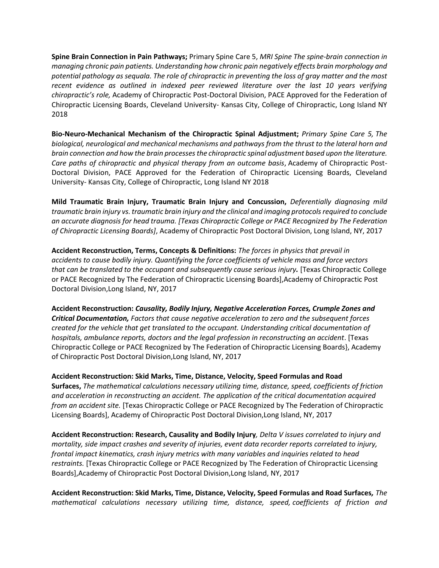**Spine Brain Connection in Pain Pathways;** Primary Spine Care 5, *MRI Spine The spine-brain connection in managing chronic pain patients. Understanding how chronic pain negatively effects brain morphology and potential pathology as sequala. The role of chiropractic in preventing the loss of gray matter and the most recent evidence as outlined in indexed peer reviewed literature over the last 10 years verifying chiropractic's role,* Academy of Chiropractic Post-Doctoral Division, PACE Approved for the Federation of Chiropractic Licensing Boards, Cleveland University- Kansas City, College of Chiropractic, Long Island NY 2018

**Bio-Neuro-Mechanical Mechanism of the Chiropractic Spinal Adjustment;** *Primary Spine Care 5, The biological, neurological and mechanical mechanisms and pathways from the thrust to the lateral horn and brain connection and how the brain processes the chiropractic spinal adjustment based upon the literature. Care paths of chiropractic and physical therapy from an outcome basis*, Academy of Chiropractic Post-Doctoral Division, PACE Approved for the Federation of Chiropractic Licensing Boards, Cleveland University- Kansas City, College of Chiropractic, Long Island NY 2018

**Mild Traumatic Brain Injury, Traumatic Brain Injury and Concussion,** *Deferentially diagnosing mild traumatic brain injury vs. traumatic brain injury and the clinical and imaging protocols required to conclude an accurate diagnosis for head trauma. [Texas Chiropractic College or PACE Recognized by The Federation of Chiropractic Licensing Boards]*, Academy of Chiropractic Post Doctoral Division, Long Island, NY, 2017

**Accident Reconstruction, Terms, Concepts & Definitions:** *The forces in physics that prevail in accidents to cause bodily injury. Quantifying the force coefficients of vehicle mass and force vectors that can be translated to the occupant and subsequently cause serious injury.* [Texas Chiropractic College or PACE Recognized by The Federation of Chiropractic Licensing Boards],Academy of Chiropractic Post Doctoral Division,Long Island, NY, 2017

**Accident Reconstruction:** *Causality, Bodily Injury, Negative Acceleration Forces, Crumple Zones and Critical Documentation, Factors that cause negative acceleration to zero and the subsequent forces created for the vehicle that get translated to the occupant. Understanding critical documentation of hospitals, ambulance reports, doctors and the legal profession in reconstructing an accident*. [Texas Chiropractic College or PACE Recognized by The Federation of Chiropractic Licensing Boards}, Academy of Chiropractic Post Doctoral Division,Long Island, NY, 2017

**Accident Reconstruction: Skid Marks, Time, Distance, Velocity, Speed Formulas and Road Surfaces,** *The mathematical calculations necessary utilizing time, distance, speed, coefficients of friction and acceleration in reconstructing an accident. The application of the critical documentation acquired from an accident site.* [Texas Chiropractic College or PACE Recognized by The Federation of Chiropractic Licensing Boards], Academy of Chiropractic Post Doctoral Division,Long Island, NY, 2017

**Accident Reconstruction: Research, Causality and Bodily Injury***, Delta V issues correlated to injury and mortality, side impact crashes and severity of injuries, event data recorder reports correlated to injury, frontal impact kinematics, crash injury metrics with many variables and inquiries related to head restraints.* [Texas Chiropractic College or PACE Recognized by The Federation of Chiropractic Licensing Boards],Academy of Chiropractic Post Doctoral Division,Long Island, NY, 2017

**Accident Reconstruction: Skid Marks, Time, Distance, Velocity, Speed Formulas and Road Surfaces***, The mathematical calculations necessary utilizing time, distance, speed, coefficients of friction and*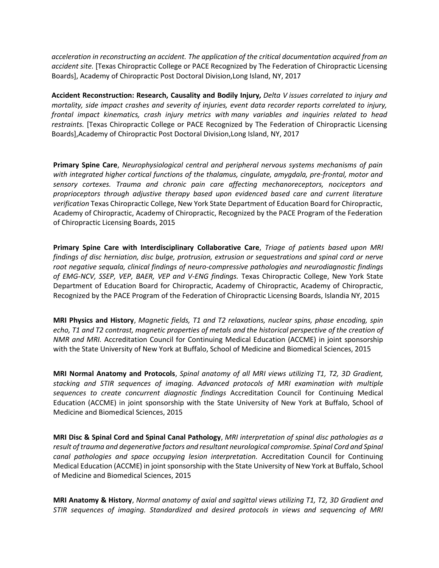*acceleration in reconstructing an accident. The application of the critical documentation acquired from an accident site.* [Texas Chiropractic College or PACE Recognized by The Federation of Chiropractic Licensing Boards], Academy of Chiropractic Post Doctoral Division,Long Island, NY, 2017

**Accident Reconstruction: Research, Causality and Bodily Injury***, Delta V issues correlated to injury and mortality, side impact crashes and severity of injuries, event data recorder reports correlated to injury, frontal impact kinematics, crash injury metrics with many variables and inquiries related to head restraints.* [Texas Chiropractic College or PACE Recognized by The Federation of Chiropractic Licensing Boards],Academy of Chiropractic Post Doctoral Division,Long Island, NY, 2017

**Primary Spine Care**, *Neurophysiological central and peripheral nervous systems mechanisms of pain with integrated higher cortical functions of the thalamus, cingulate, amygdala, pre-frontal, motor and sensory cortexes. Trauma and chronic pain care affecting mechanoreceptors, nociceptors and proprioceptors through adjustive therapy based upon evidenced based care and current literature verification* Texas Chiropractic College, New York State Department of Education Board for Chiropractic, Academy of Chiropractic, Academy of Chiropractic, Recognized by the PACE Program of the Federation of Chiropractic Licensing Boards, 2015

**Primary Spine Care with Interdisciplinary Collaborative Care**, *Triage of patients based upon MRI findings of disc herniation, disc bulge, protrusion, extrusion or sequestrations and spinal cord or nerve root negative sequala, clinical findings of neuro-compressive pathologies and neurodiagnostic findings of EMG-NCV, SSEP, VEP, BAER, VEP and V-ENG findings.* Texas Chiropractic College, New York State Department of Education Board for Chiropractic, Academy of Chiropractic, Academy of Chiropractic, Recognized by the PACE Program of the Federation of Chiropractic Licensing Boards, Islandia NY, 2015

**MRI Physics and History**, *Magnetic fields, T1 and T2 relaxations, nuclear spins, phase encoding, spin echo, T1 and T2 contrast, magnetic properties of metals and the historical perspective of the creation of NMR and MRI.* Accreditation Council for Continuing Medical Education (ACCME) in joint sponsorship with the State University of New York at Buffalo, School of Medicine and Biomedical Sciences, 2015

**MRI Normal Anatomy and Protocols**, *Spinal anatomy of all MRI views utilizing T1, T2, 3D Gradient, stacking and STIR sequences of imaging. Advanced protocols of MRI examination with multiple sequences to create concurrent diagnostic findings* Accreditation Council for Continuing Medical Education (ACCME) in joint sponsorship with the State University of New York at Buffalo, School of Medicine and Biomedical Sciences, 2015

**MRI Disc & Spinal Cord and Spinal Canal Pathology**, *MRI interpretation of spinal disc pathologies as a result oftrauma and degenerative factors and resultant neurological compromise. Spinal Cord and Spinal canal pathologies and space occupying lesion interpretation.* Accreditation Council for Continuing Medical Education (ACCME) in joint sponsorship with the State University of New York at Buffalo, School of Medicine and Biomedical Sciences, 2015

**MRI Anatomy & History**, *Normal anatomy of axial and sagittal views utilizing T1, T2, 3D Gradient and STIR sequences of imaging. Standardized and desired protocols in views and sequencing of MRI*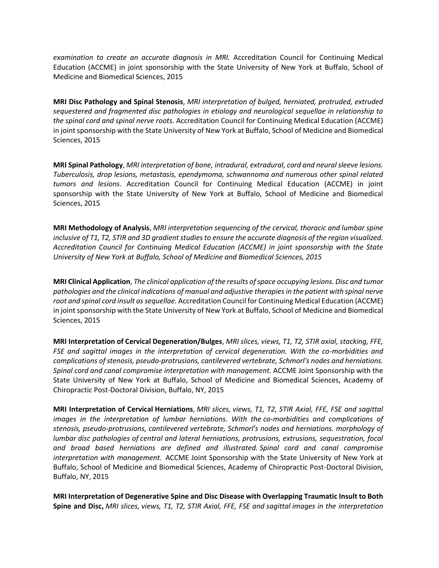*examination to create an accurate diagnosis in MRI.* Accreditation Council for Continuing Medical Education (ACCME) in joint sponsorship with the State University of New York at Buffalo, School of Medicine and Biomedical Sciences, 2015

**MRI Disc Pathology and Spinal Stenosis**, *MRI interpretation of bulged, herniated, protruded, extruded sequestered and fragmented disc pathologies in etiology and neurological sequellae in relationship to the spinal cord and spinal nerve roots.* Accreditation Council for Continuing Medical Education (ACCME) in joint sponsorship with the State University of New York at Buffalo, School of Medicine and Biomedical Sciences, 2015

**MRI Spinal Pathology**, *MRI interpretation of bone, intradural, extradural, cord and neural sleeve lesions. Tuberculosis, drop lesions, metastasis, ependymoma, schwannoma and numerous other spinal related tumors and lesions*. Accreditation Council for Continuing Medical Education (ACCME) in joint sponsorship with the State University of New York at Buffalo, School of Medicine and Biomedical Sciences, 2015

**MRI Methodology of Analysis**, *MRI interpretation sequencing of the cervical, thoracic and lumbar spine inclusive of T1, T2, STIR and 3D gradient studies to ensure the accurate diagnosis of the region visualized. Accreditation Council for Continuing Medical Education (ACCME) in joint sponsorship with the State University of New York at Buffalo, School of Medicine and Biomedical Sciences, 2015*

**MRI Clinical Application**, *The clinical application of the results of space occupying lesions. Disc and tumor pathologies and the clinical indications of manual and adjustive therapies in the patient with spinal nerve root and spinal cord insult as sequellae.* Accreditation Council for Continuing Medical Education (ACCME) in joint sponsorship with the State University of New York at Buffalo, School of Medicine and Biomedical Sciences, 2015

**MRI Interpretation of Cervical Degeneration/Bulges**, *MRI slices, views, T1, T2, STIR axial, stacking, FFE, FSE and sagittal images in the interpretation of cervical degeneration. With the co-morbidities and complications of stenosis, pseudo-protrusions, cantilevered vertebrate, Schmorl's nodes and herniations. Spinal cord and canal compromise interpretation with management.* ACCME Joint Sponsorship with the State University of New York at Buffalo, School of Medicine and Biomedical Sciences, Academy of Chiropractic Post-Doctoral Division, Buffalo, NY, 2015

**MRI Interpretation of Cervical Herniations**, *MRI slices, views, T1, T2, STIR Axial, FFE, FSE and sagittal images in the interpretation of lumbar herniations. With the co-morbidities and complications of stenosis, pseudo-protrusions, cantilevered vertebrate, Schmorl's nodes and herniations. morphology of lumbar disc pathologies of central and lateral herniations, protrusions, extrusions, sequestration, focal and broad based herniations are defined and illustrated. Spinal cord and canal compromise interpretation with management.* ACCME Joint Sponsorship with the State University of New York at Buffalo, School of Medicine and Biomedical Sciences, Academy of Chiropractic Post-Doctoral Division, Buffalo, NY, 2015

**MRI Interpretation of Degenerative Spine and Disc Disease with Overlapping Traumatic Insult to Both Spine and Disc,** *MRI slices, views, T1, T2, STIR Axial, FFE, FSE and sagittal images in the interpretation*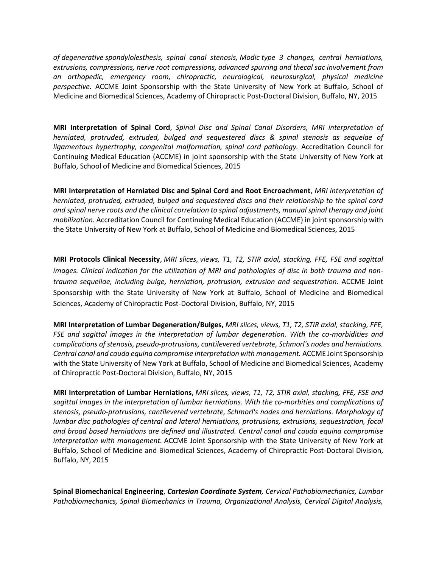*of degenerative spondylolesthesis, spinal canal stenosis, Modic type 3 changes, central herniations, extrusions, compressions, nerve root compressions, advanced spurring and thecal sac involvement from an orthopedic, emergency room, chiropractic, neurological, neurosurgical, physical medicine perspective.* ACCME Joint Sponsorship with the State University of New York at Buffalo, School of Medicine and Biomedical Sciences, Academy of Chiropractic Post-Doctoral Division, Buffalo, NY, 2015

**MRI Interpretation of Spinal Cord**, *Spinal Disc and Spinal Canal Disorders, MRI interpretation of herniated, protruded, extruded, bulged and sequestered discs & spinal stenosis as sequelae of ligamentous hypertrophy, congenital malformation, spinal cord pathology.* Accreditation Council for Continuing Medical Education (ACCME) in joint sponsorship with the State University of New York at Buffalo, School of Medicine and Biomedical Sciences, 2015

**MRI Interpretation of Herniated Disc and Spinal Cord and Root Encroachment**, *MRI interpretation of herniated, protruded, extruded, bulged and sequestered discs and their relationship to the spinal cord and spinal nerve roots and the clinical correlation to spinal adjustments, manual spinal therapy and joint mobilization.* Accreditation Council for Continuing Medical Education (ACCME) in joint sponsorship with the State University of New York at Buffalo, School of Medicine and Biomedical Sciences, 2015

**MRI Protocols Clinical Necessity**, *MRI slices, views, T1, T2, STIR axial, stacking, FFE, FSE and sagittal images. Clinical indication for the utilization of MRI and pathologies of disc in both trauma and nontrauma sequellae, including bulge, herniation, protrusion, extrusion and sequestration.* ACCME Joint Sponsorship with the State University of New York at Buffalo, School of Medicine and Biomedical Sciences, Academy of Chiropractic Post-Doctoral Division, Buffalo, NY, 2015

**MRI Interpretation of Lumbar Degeneration/Bulges,** *MRI slices, views, T1, T2, STIR axial, stacking, FFE, FSE and sagittal images in the interpretation of lumbar degeneration. With the co-morbidities and complications of stenosis, pseudo-protrusions, cantilevered vertebrate, Schmorl's nodes and herniations. Central canal and cauda equina compromise interpretation with management.* ACCME Joint Sponsorship with the State University of New York at Buffalo, School of Medicine and Biomedical Sciences, Academy of Chiropractic Post-Doctoral Division, Buffalo, NY, 2015

**MRI Interpretation of Lumbar Herniations**, *MRI slices, views, T1, T2, STIR axial, stacking, FFE, FSE and sagittal images in the interpretation of lumbar herniations. With the co-morbities and complications of stenosis, pseudo-protrusions, cantilevered vertebrate, Schmorl's nodes and herniations. Morphology of lumbar disc pathologies of central and lateral herniations, protrusions, extrusions, sequestration, focal and broad based herniations are defined and illustrated. Central canal and cauda equina compromise interpretation with management.* ACCME Joint Sponsorship with the State University of New York at Buffalo, School of Medicine and Biomedical Sciences, Academy of Chiropractic Post-Doctoral Division, Buffalo, NY, 2015

**Spinal Biomechanical Engineering**, *Cartesian Coordinate System, Cervical Pathobiomechanics, Lumbar Pathobiomechanics, Spinal Biomechanics in Trauma, Organizational Analysis, Cervical Digital Analysis,*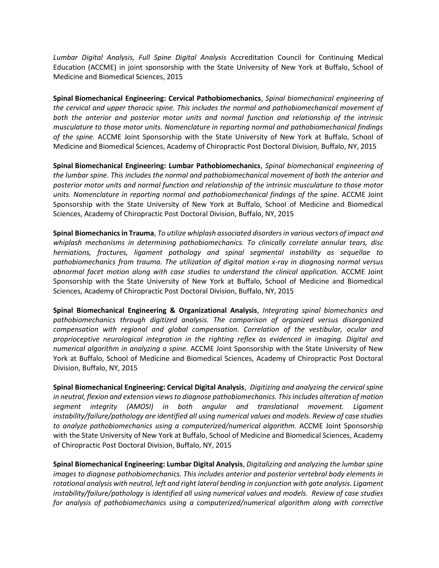*Lumbar Digital Analysis, Full Spine Digital Analysis* Accreditation Council for Continuing Medical Education (ACCME) in joint sponsorship with the State University of New York at Buffalo, School of Medicine and Biomedical Sciences, 2015

**Spinal Biomechanical Engineering: Cervical Pathobiomechanics**, *Spinal biomechanical engineering of the cervical and upper thoracic spine. This includes the normal and pathobiomechanical movement of both the anterior and posterior motor units and normal function and relationship of the intrinsic musculature to those motor units. Nomenclature in reporting normal and pathobiomechanical findings of the spine.* ACCME Joint Sponsorship with the State University of New York at Buffalo, School of Medicine and Biomedical Sciences, Academy of Chiropractic Post Doctoral Division, Buffalo, NY, 2015

**Spinal Biomechanical Engineering: Lumbar Pathobiomechanics**, *Spinal biomechanical engineering of the lumbar spine. This includes the normal and pathobiomechanical movement of both the anterior and posterior motor units and normal function and relationship of the intrinsic musculature to those motor units. Nomenclature in reporting normal and pathobiomechanical findings of the spine.* ACCME Joint Sponsorship with the State University of New York at Buffalo, School of Medicine and Biomedical Sciences, Academy of Chiropractic Post Doctoral Division, Buffalo, NY, 2015

**Spinal Biomechanics in Trauma**, *To utilize whiplash associated disorders in various vectors of impact and whiplash mechanisms in determining pathobiomechanics. To clinically correlate annular tears, disc herniations, fractures, ligament pathology and spinal segmental instability as sequellae to pathobiomechanics from trauma. The utilization of digital motion x-ray in diagnosing normal versus abnormal facet motion along with case studies to understand the clinical application.* ACCME Joint Sponsorship with the State University of New York at Buffalo, School of Medicine and Biomedical Sciences, Academy of Chiropractic Post Doctoral Division, Buffalo, NY, 2015

**Spinal Biomechanical Engineering & Organizational Analysis**, *Integrating spinal biomechanics and pathobiomechanics through digitized analysis. The comparison of organized versus disorganized compensation with regional and global compensation. Correlation of the vestibular, ocular and proprioceptive neurological integration in the righting reflex as evidenced in imaging. Digital and numerical algorithm in analyzing a spine.* ACCME Joint Sponsorship with the State University of New York at Buffalo, School of Medicine and Biomedical Sciences, Academy of Chiropractic Post Doctoral Division, Buffalo, NY, 2015

**Spinal Biomechanical Engineering: Cervical Digital Analysis**, *Digitizing and analyzing the cervical spine in neutral, flexion and extension views to diagnose pathobiomechanics. This includes alteration of motion segment integrity (AMOSI) in both angular and translational movement. Ligament instability/failure/pathology are identified all using numerical values and models. Review of case studies to analyze pathobiomechanics using a computerized/numerical algorithm.* ACCME Joint Sponsorship with the State University of New York at Buffalo, School of Medicine and Biomedical Sciences, Academy of Chiropractic Post Doctoral Division, Buffalo, NY, 2015

**Spinal Biomechanical Engineering: Lumbar Digital Analysis**, *Digitalizing and analyzing the lumbar spine images to diagnose pathobiomechanics. This includes anterior and posterior vertebral body elements in rotational analysis with neutral, left and right lateral bending in conjunction with gate analysis. Ligament instability/failure/pathology is identified all using numerical values and models. Review of case studies for analysis of pathobiomechanics using a computerized/numerical algorithm along with corrective*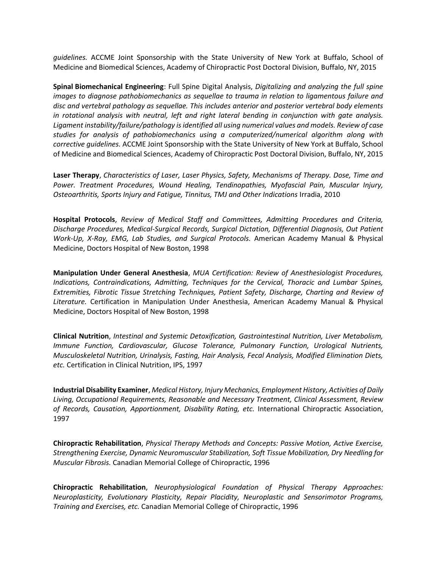*guidelines.* ACCME Joint Sponsorship with the State University of New York at Buffalo, School of Medicine and Biomedical Sciences, Academy of Chiropractic Post Doctoral Division, Buffalo, NY, 2015

**Spinal Biomechanical Engineering**: Full Spine Digital Analysis, *Digitalizing and analyzing the full spine images to diagnose pathobiomechanics as sequellae to trauma in relation to ligamentous failure and disc and vertebral pathology as sequellae. This includes anterior and posterior vertebral body elements in rotational analysis with neutral, left and right lateral bending in conjunction with gate analysis. Ligament instability/failure/pathology is identified all using numerical values and models. Review of case studies for analysis of pathobiomechanics using a computerized/numerical algorithm along with corrective guidelines.* ACCME Joint Sponsorship with the State University of New York at Buffalo, School of Medicine and Biomedical Sciences, Academy of Chiropractic Post Doctoral Division, Buffalo, NY, 2015

**Laser Therapy**, *Characteristics of Laser, Laser Physics, Safety, Mechanisms of Therapy. Dose, Time and Power. Treatment Procedures, Wound Healing, Tendinopathies, Myofascial Pain, Muscular Injury, Osteoarthritis, Sports Injury and Fatigue, Tinnitus, TMJ and Other Indications* Irradia, 2010

**Hospital Protocols**, *Review of Medical Staff and Committees, Admitting Procedures and Criteria, Discharge Procedures, Medical-Surgical Records, Surgical Dictation, Differential Diagnosis, Out Patient Work-Up, X-Ray, EMG, Lab Studies, and Surgical Protocols.* American Academy Manual & Physical Medicine, Doctors Hospital of New Boston, 1998

**Manipulation Under General Anesthesia**, *MUA Certification: Review of Anesthesiologist Procedures, Indications, Contraindications, Admitting, Techniques for the Cervical, Thoracic and Lumbar Spines, Extremities, Fibrotic Tissue Stretching Techniques, Patient Safety, Discharge, Charting and Review of Literature.* Certification in Manipulation Under Anesthesia, American Academy Manual & Physical Medicine, Doctors Hospital of New Boston, 1998

**Clinical Nutrition**, *Intestinal and Systemic Detoxification, Gastrointestinal Nutrition, Liver Metabolism, Immune Function, Cardiovascular, Glucose Tolerance, Pulmonary Function, Urological Nutrients, Musculoskeletal Nutrition, Urinalysis, Fasting, Hair Analysis, Fecal Analysis, Modified Elimination Diets, etc.* Certification in Clinical Nutrition, IPS, 1997

**Industrial Disability Examiner**, *Medical History, Injury Mechanics, Employment History, Activities of Daily Living, Occupational Requirements, Reasonable and Necessary Treatment, Clinical Assessment, Review of Records, Causation, Apportionment, Disability Rating, etc.* International Chiropractic Association, 1997

**Chiropractic Rehabilitation**, *Physical Therapy Methods and Concepts: Passive Motion, Active Exercise, Strengthening Exercise, Dynamic Neuromuscular Stabilization, Soft Tissue Mobilization, Dry Needling for Muscular Fibrosis.* Canadian Memorial College of Chiropractic, 1996

**Chiropractic Rehabilitation**, *Neurophysiological Foundation of Physical Therapy Approaches: Neuroplasticity, Evolutionary Plasticity, Repair Placidity, Neuroplastic and Sensorimotor Programs, Training and Exercises, etc.* Canadian Memorial College of Chiropractic, 1996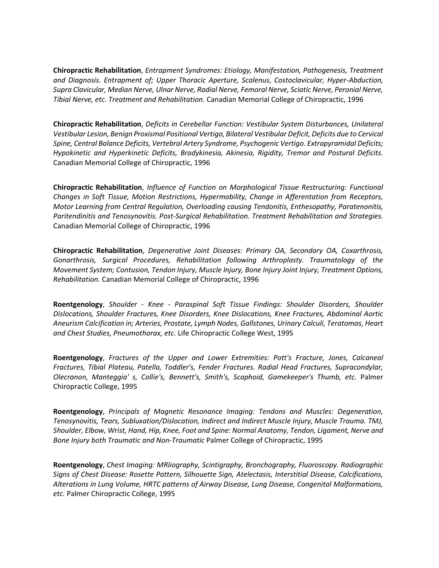**Chiropractic Rehabilitation**, *Entrapment Syndromes: Etiology, Manifestation, Pathogenesis, Treatment and Diagnosis. Entrapment of; Upper Thoracic Aperture, Scalenus, Costoclavicular, Hyper-Abduction, Supra Clavicular, Median Nerve, Ulnar Nerve, Radial Nerve, Femoral Nerve, Sciatic Nerve, Peronial Nerve, Tibial Nerve, etc. Treatment and Rehabilitation.* Canadian Memorial College of Chiropractic, 1996

**Chiropractic Rehabilitation**, *Deficits in Cerebellar Function: Vestibular System Disturbances, Unilateral Vestibular Lesion, Benign Proxismal Positional Vertigo, Bilateral Vestibular Deficit, Deficits due to Cervical Spine, Central Balance Deficits, Vertebral Artery Syndrome, Psychogenic Vertigo. Extrapyramidal Deficits; Hypokinetic and Hyperkinetic Deficits, Bradykinesia, Akinesia, Rigidity, Tremor and Postural Deficits.* Canadian Memorial College of Chiropractic, 1996

**Chiropractic Rehabilitation**, *Influence of Function on Morphological Tissue Restructuring: Functional Changes in Soft Tissue, Motion Restrictions, Hypermobility, Change in Afferentation from Receptors, Motor Learning from Central Regulation, Overloading causing Tendonitis, Enthesopathy, Paratenonitis, Paritendinitis and Tenosynovitis. Post-Surgical Rehabilitation. Treatment Rehabilitation and Strategies.* Canadian Memorial College of Chiropractic, 1996

**Chiropractic Rehabilitation**, *Degenerative Joint Diseases: Primary OA, Secondary OA, Coxarthrosis, Gonarthrosis, Surgical Procedures, Rehabilitation following Arthroplasty. Traumatology of the Movement System; Contusion, Tendon Injury, Muscle Injury, Bone Injury Joint Injury, Treatment Options, Rehabilitation.* Canadian Memorial College of Chiropractic, 1996

**Roentgenology**, *Shoulder - Knee - Paraspinal Soft Tissue Findings: Shoulder Disorders, Shoulder Dislocations, Shoulder Fractures, Knee Disorders, Knee Dislocations, Knee Fractures, Abdominal Aortic Aneurism Calcification in; Arteries, Prostate, Lymph Nodes, Gallstones, Urinary Calculi, Teratomas, Heart and Chest Studies, Pneumothorax, etc.* Life Chiropractic College West, 1995

**Roentgenology**, *Fractures of the Upper and Lower Extremities: Pott's Fracture, Jones, Calcaneal Fractures, Tibial Plateau, Patella, Toddler's, Fender Fractures. Radial Head Fractures, Supracondylar, Olecranon, Manteggia' s, Collie's, Bennett's, Smith's, Scaphoid, Gamekeeper's Thumb, etc.* Palmer Chiropractic College, 1995

**Roentgenology**, *Principals of Magnetic Resonance Imaging: Tendons and Muscles: Degeneration, Tenosynovitis, Tears, Subluxation/Dislocation, Indirect and Indirect Muscle Injury, Muscle Trauma. TMJ, Shoulder, Elbow, Wrist, Hand, Hip, Knee, Foot and Spine: Normal Anatomy, Tendon, Ligament, Nerve and Bone Injury both Traumatic and Non-Traumatic* Palmer College of Chiropractic, 1995

**Roentgenology**, *Chest Imaging: MRIiography, Scintigraphy, Bronchography, Fluoroscopy. Radiographic Signs of Chest Disease: Rosette Pattern, Silhouette Sign, Atelectasis, Interstitial Disease, Calcifications, Alterations in Lung Volume, HRTC patterns of Airway Disease, Lung Disease, Congenital Malformations, etc.* Palmer Chiropractic College, 1995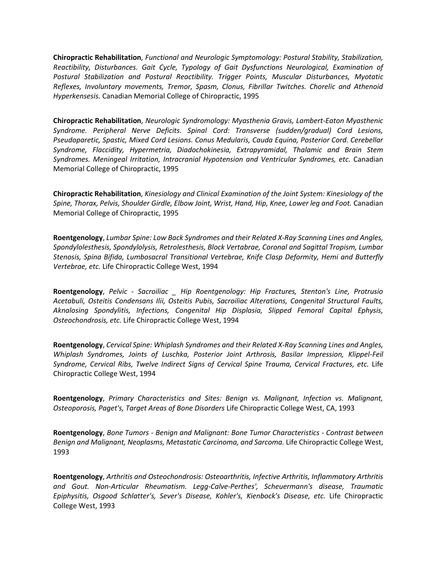**Chiropractic Rehabilitation**, *Functional and Neurologic Symptomology: Postural Stability, Stabilization, Reactibility, Disturbances. Gait Cycle, Typology of Gait Dysfunctions Neurological, Examination of Postural Stabilization and Postural Reactibility. Trigger Points, Muscular Disturbances, Myotatic Reflexes, Involuntary movements, Tremor, Spasm, Clonus, Fibrillar Twitches. Chorelic and Athenoid Hyperkensesis.* Canadian Memorial College of Chiropractic, 1995

**Chiropractic Rehabilitation**, *Neurologic Syndromology: Myasthenia Gravis, Lambert-Eaton Myasthenic Syndrome. Peripheral Nerve Deficits. Spinal Cord: Transverse (sudden/gradual) Cord Lesions, Pseudoparetic, Spastic, Mixed Cord Lesions. Conus Medularis, Cauda Equina, Posterior Cord. Cerebellar Syndrome, Flaccidity, Hypermetria, Diadochokinesia, Extrapyramidal, Thalamic and Brain Stem Syndromes. Meningeal Irritation, Intracranial Hypotension and Ventricular Syndromes, etc.* Canadian Memorial College of Chiropractic, 1995

**Chiropractic Rehabilitation**, *Kinesiology and Clinical Examination of the Joint System: Kinesiology of the Spine, Thorax, Pelvis, Shoulder Girdle, Elbow Joint, Wrist, Hand, Hip, Knee, Lower leg and Foot.* Canadian Memorial College of Chiropractic, 1995

**Roentgenology**, *Lumbar Spine: Low Back Syndromes and their Related X-Ray Scanning Lines and Angles, Spondylolesthesis, Spondylolysis, Retrolesthesis, Block Vertabrae, Coronal and Sagittal Tropism, Lumbar Stenosis, Spina Bifida, Lumbosacral Transitional Vertebrae, Knife Clasp Deformity, Hemi and Butterfly Vertebrae, etc.* Life Chiropractic College West, 1994

**Roentgenology**, *Pelvic - Sacroiliac \_ Hip Roentgenology: Hip Fractures, Stenton's Line, Protrusio Acetabuli, Osteitis Condensans Ilii, Osteitis Pubis, Sacroiliac Alterations, Congenital Structural Faults, Aknalosing Spondylitis, Infections, Congenital Hip Displasia, Slipped Femoral Capital Ephysis, Osteochondrosis, etc.* Life Chiropractic College West, 1994

**Roentgenology**, *Cervical Spine: Whiplash Syndromes and their Related X-Ray Scanning Lines and Angles, Whiplash Syndromes, Joints of Luschka, Posterior Joint Arthrosis, Basilar Impression, Klippel-Feil Syndrome, Cervical Ribs, Twelve Indirect Signs of Cervical Spine Trauma, Cervical Fractures, etc.* Life Chiropractic College West, 1994

**Roentgenology**, *Primary Characteristics and Sites: Benign vs. Malignant, Infection vs. Malignant, Osteoporosis, Paget's, Target Areas of Bone Disorders* Life Chiropractic College West, CA, 1993

**Roentgenology**, *Bone Tumors - Benign and Malignant: Bone Tumor Characteristics - Contrast between Benign and Malignant, Neoplasms, Metastatic Carcinoma, and Sarcoma.* Life Chiropractic College West, 1993

**Roentgenology**, *Arthritis and Osteochondrosis: Osteoarthritis, Infective Arthritis, Inflammatory Arthritis and Gout. Non-Articular Rheumatism. Legg-Calve-Perthes', Scheuermann's disease, Traumatic Epiphysitis, Osgood Schlatter's, Sever's Disease, Kohler's, Kienbock's Disease, etc.* Life Chiropractic College West, 1993